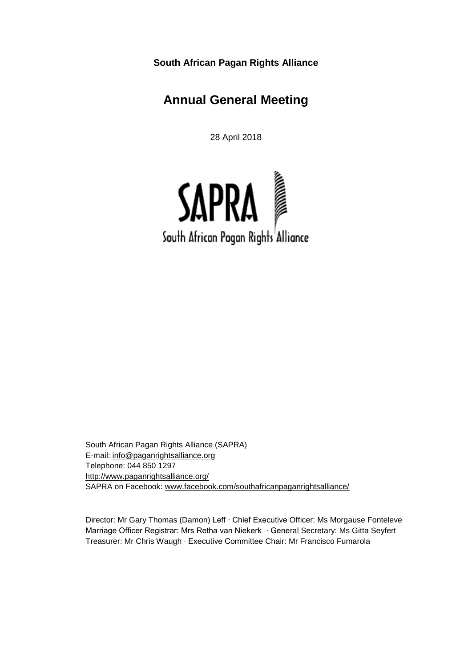**South African Pagan Rights Alliance**

# **Annual General Meeting**

28 April 2018



South African Pagan Rights Alliance (SAPRA) E-mail: [info@paganrightsalliance.org](mailto:info@paganrightsalliance.org) Telephone: 044 850 1297 <http://www.paganrightsalliance.org/> SAPRA on Facebook: [www.facebook.com/southafricanpaganrightsalliance/](http://www.facebook.com/southafricanpaganrightsalliance/)

Director: Mr Gary Thomas (Damon) Leff ∙ Chief Executive Officer: Ms Morgause Fonteleve Marriage Officer Registrar: Mrs Retha van Niekerk ∙ General Secretary: Ms Gitta Seyfert Treasurer: Mr Chris Waugh ∙ Executive Committee Chair: Mr Francisco Fumarola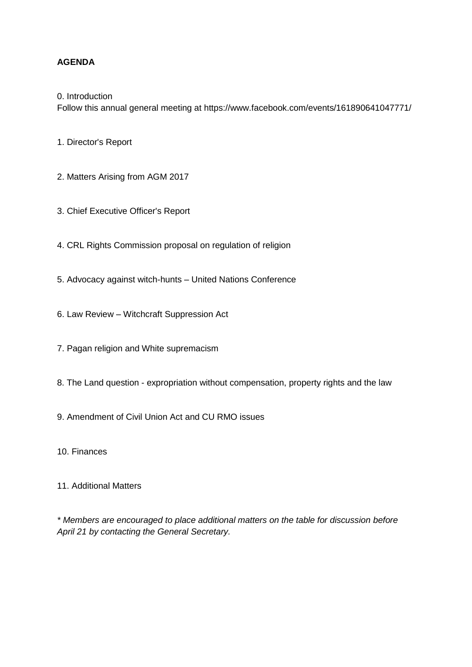## **AGENDA**

0. Introduction

Follow this annual general meeting at https://www.facebook.com/events/161890641047771/

1. Director's Report

- 2. Matters Arising from AGM 2017
- 3. Chief Executive Officer's Report
- 4. CRL Rights Commission proposal on regulation of religion
- 5. Advocacy against witch-hunts United Nations Conference
- 6. Law Review Witchcraft Suppression Act
- 7. Pagan religion and White supremacism
- 8. The Land question expropriation without compensation, property rights and the law
- 9. Amendment of Civil Union Act and CU RMO issues
- 10. Finances
- 11. Additional Matters

*\* Members are encouraged to place additional matters on the table for discussion before April 21 by contacting the General Secretary.*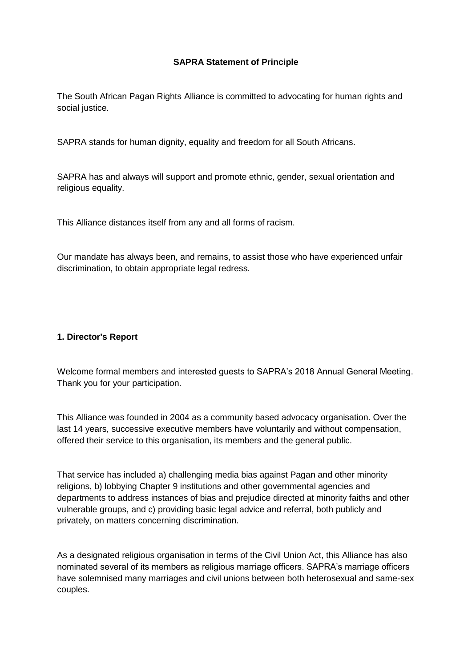### **SAPRA Statement of Principle**

The South African Pagan Rights Alliance is committed to advocating for human rights and social justice.

SAPRA stands for human dignity, equality and freedom for all South Africans.

SAPRA has and always will support and promote ethnic, gender, sexual orientation and religious equality.

This Alliance distances itself from any and all forms of racism.

Our mandate has always been, and remains, to assist those who have experienced unfair discrimination, to obtain appropriate legal redress.

#### **1. Director's Report**

Welcome formal members and interested guests to SAPRA's 2018 Annual General Meeting. Thank you for your participation.

This Alliance was founded in 2004 as a community based advocacy organisation. Over the last 14 years, successive executive members have voluntarily and without compensation, offered their service to this organisation, its members and the general public.

That service has included a) challenging media bias against Pagan and other minority religions, b) lobbying Chapter 9 institutions and other governmental agencies and departments to address instances of bias and prejudice directed at minority faiths and other vulnerable groups, and c) providing basic legal advice and referral, both publicly and privately, on matters concerning discrimination.

As a designated religious organisation in terms of the Civil Union Act, this Alliance has also nominated several of its members as religious marriage officers. SAPRA's marriage officers have solemnised many marriages and civil unions between both heterosexual and same-sex couples.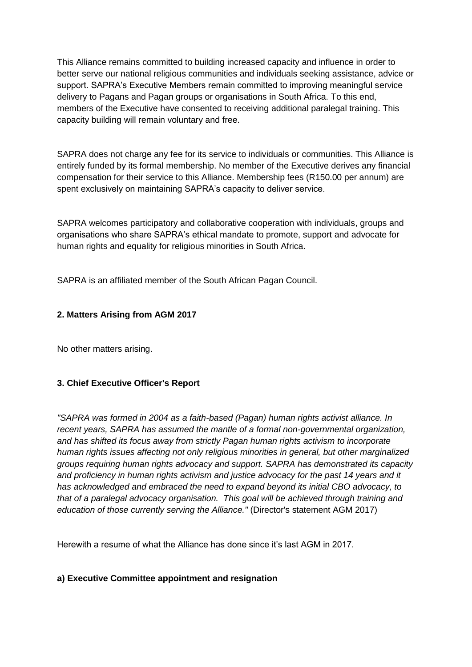This Alliance remains committed to building increased capacity and influence in order to better serve our national religious communities and individuals seeking assistance, advice or support. SAPRA's Executive Members remain committed to improving meaningful service delivery to Pagans and Pagan groups or organisations in South Africa. To this end, members of the Executive have consented to receiving additional paralegal training. This capacity building will remain voluntary and free.

SAPRA does not charge any fee for its service to individuals or communities. This Alliance is entirely funded by its formal membership. No member of the Executive derives any financial compensation for their service to this Alliance. Membership fees (R150.00 per annum) are spent exclusively on maintaining SAPRA's capacity to deliver service.

SAPRA welcomes participatory and collaborative cooperation with individuals, groups and organisations who share SAPRA's ethical mandate to promote, support and advocate for human rights and equality for religious minorities in South Africa.

SAPRA is an affiliated member of the South African Pagan Council.

## **2. Matters Arising from AGM 2017**

No other matters arising.

## **3. Chief Executive Officer's Report**

*"SAPRA was formed in 2004 as a faith-based (Pagan) human rights activist alliance. In recent years, SAPRA has assumed the mantle of a formal non-governmental organization, and has shifted its focus away from strictly Pagan human rights activism to incorporate human rights issues affecting not only religious minorities in general, but other marginalized groups requiring human rights advocacy and support. SAPRA has demonstrated its capacity and proficiency in human rights activism and justice advocacy for the past 14 years and it has acknowledged and embraced the need to expand beyond its initial CBO advocacy, to that of a paralegal advocacy organisation. This goal will be achieved through training and education of those currently serving the Alliance."* (Director's statement AGM 2017)

Herewith a resume of what the Alliance has done since it's last AGM in 2017.

#### **a) Executive Committee appointment and resignation**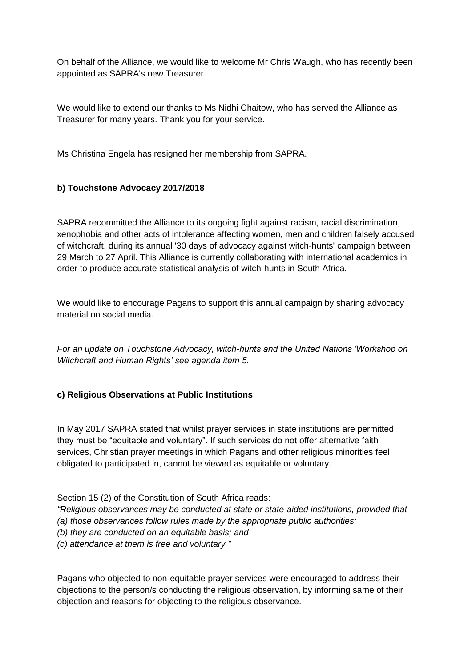On behalf of the Alliance, we would like to welcome Mr Chris Waugh, who has recently been appointed as SAPRA's new Treasurer.

We would like to extend our thanks to Ms Nidhi Chaitow, who has served the Alliance as Treasurer for many years. Thank you for your service.

Ms Christina Engela has resigned her membership from SAPRA.

## **b) Touchstone Advocacy 2017/2018**

SAPRA recommitted the Alliance to its ongoing fight against racism, racial discrimination, xenophobia and other acts of intolerance affecting women, men and children falsely accused of witchcraft, during its annual '30 days of advocacy against witch-hunts' campaign between 29 March to 27 April. This Alliance is currently collaborating with international academics in order to produce accurate statistical analysis of witch-hunts in South Africa.

We would like to encourage Pagans to support this annual campaign by sharing advocacy material on social media.

*For an update on Touchstone Advocacy, witch-hunts and the United Nations 'Workshop on Witchcraft and Human Rights' see agenda item 5.*

#### **c) Religious Observations at Public Institutions**

In May 2017 SAPRA stated that whilst prayer services in state institutions are permitted, they must be "equitable and voluntary". If such services do not offer alternative faith services, Christian prayer meetings in which Pagans and other religious minorities feel obligated to participated in, cannot be viewed as equitable or voluntary.

Section 15 (2) of the Constitution of South Africa reads:

*"Religious observances may be conducted at state or state-aided institutions, provided that -*

*(a) those observances follow rules made by the appropriate public authorities;*

*(b) they are conducted on an equitable basis; and*

*(c) attendance at them is free and voluntary."*

Pagans who objected to non-equitable prayer services were encouraged to address their objections to the person/s conducting the religious observation, by informing same of their objection and reasons for objecting to the religious observance.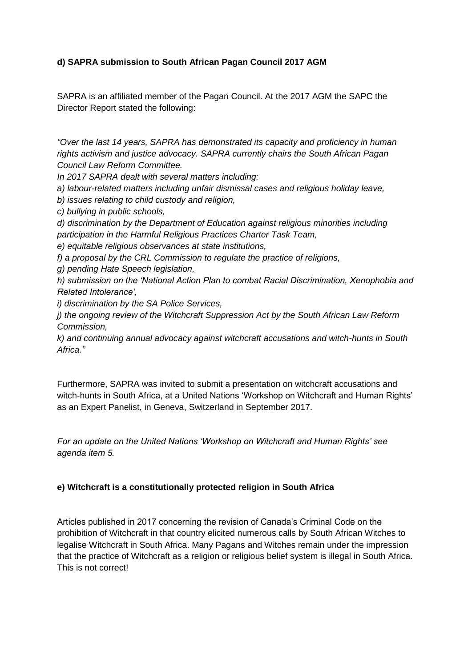## **d) SAPRA submission to South African Pagan Council 2017 AGM**

SAPRA is an affiliated member of the Pagan Council. At the 2017 AGM the SAPC the Director Report stated the following:

*"Over the last 14 years, SAPRA has demonstrated its capacity and proficiency in human rights activism and justice advocacy. SAPRA currently chairs the South African Pagan Council Law Reform Committee.*

*In 2017 SAPRA dealt with several matters including:*

*a) labour-related matters including unfair dismissal cases and religious holiday leave,*

*b) issues relating to child custody and religion,*

*c) bullying in public schools,*

*d) discrimination by the Department of Education against religious minorities including participation in the Harmful Religious Practices Charter Task Team,*

*e) equitable religious observances at state institutions,*

*f) a proposal by the CRL Commission to regulate the practice of religions,*

*g) pending Hate Speech legislation,*

*h) submission on the 'National Action Plan to combat Racial Discrimination, Xenophobia and Related Intolerance',*

*i) discrimination by the SA Police Services,*

*j) the ongoing review of the Witchcraft Suppression Act by the South African Law Reform Commission,*

*k) and continuing annual advocacy against witchcraft accusations and witch-hunts in South Africa."*

Furthermore, SAPRA was invited to submit a presentation on witchcraft accusations and witch-hunts in South Africa, at a United Nations 'Workshop on Witchcraft and Human Rights' as an Expert Panelist, in Geneva, Switzerland in September 2017.

*For an update on the United Nations 'Workshop on Witchcraft and Human Rights' see agenda item 5.*

#### **e) Witchcraft is a constitutionally protected religion in South Africa**

Articles published in 2017 concerning the revision of Canada's Criminal Code on the prohibition of Witchcraft in that country elicited numerous calls by South African Witches to legalise Witchcraft in South Africa. Many Pagans and Witches remain under the impression that the practice of Witchcraft as a religion or religious belief system is illegal in South Africa. This is not correct!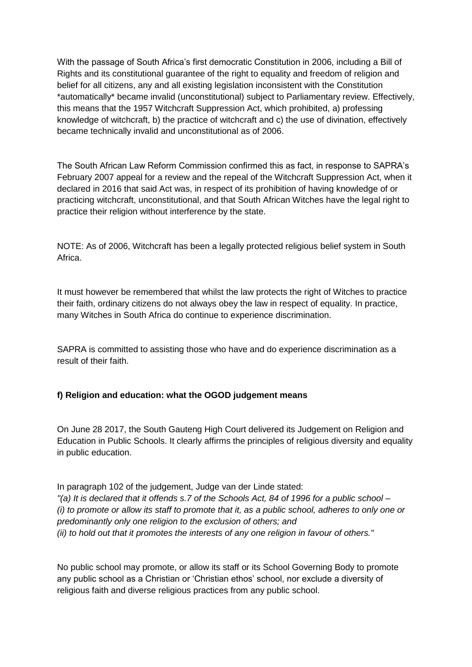With the passage of South Africa's first democratic Constitution in 2006, including a Bill of Rights and its constitutional guarantee of the right to equality and freedom of religion and belief for all citizens, any and all existing legislation inconsistent with the Constitution \*automatically\* became invalid (unconstitutional) subject to Parliamentary review. Effectively, this means that the 1957 Witchcraft Suppression Act, which prohibited, a) professing knowledge of witchcraft, b) the practice of witchcraft and c) the use of divination, effectively became technically invalid and unconstitutional as of 2006.

The South African Law Reform Commission confirmed this as fact, in response to SAPRA's February 2007 appeal for a review and the repeal of the Witchcraft Suppression Act, when it declared in 2016 that said Act was, in respect of its prohibition of having knowledge of or practicing witchcraft, unconstitutional, and that South African Witches have the legal right to practice their religion without interference by the state.

NOTE: As of 2006, Witchcraft has been a legally protected religious belief system in South Africa.

It must however be remembered that whilst the law protects the right of Witches to practice their faith, ordinary citizens do not always obey the law in respect of equality. In practice, many Witches in South Africa do continue to experience discrimination.

SAPRA is committed to assisting those who have and do experience discrimination as a result of their faith.

#### **f) Religion and education: what the OGOD judgement means**

On June 28 2017, the South Gauteng High Court delivered its Judgement on Religion and Education in Public Schools. It clearly affirms the principles of religious diversity and equality in public education.

In paragraph 102 of the judgement, Judge van der Linde stated: *"(a) It is declared that it offends s.7 of the Schools Act, 84 of 1996 for a public school – (i) to promote or allow its staff to promote that it, as a public school, adheres to only one or predominantly only one religion to the exclusion of others; and (ii) to hold out that it promotes the interests of any one religion in favour of others."*

No public school may promote, or allow its staff or its School Governing Body to promote any public school as a Christian or 'Christian ethos' school, nor exclude a diversity of religious faith and diverse religious practices from any public school.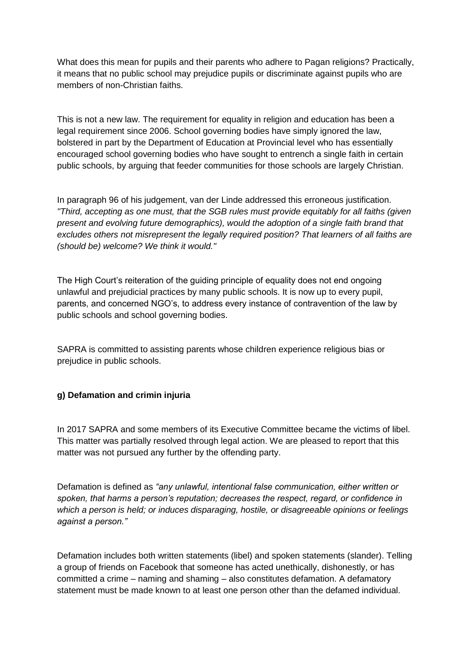What does this mean for pupils and their parents who adhere to Pagan religions? Practically, it means that no public school may prejudice pupils or discriminate against pupils who are members of non-Christian faiths.

This is not a new law. The requirement for equality in religion and education has been a legal requirement since 2006. School governing bodies have simply ignored the law, bolstered in part by the Department of Education at Provincial level who has essentially encouraged school governing bodies who have sought to entrench a single faith in certain public schools, by arguing that feeder communities for those schools are largely Christian.

In paragraph 96 of his judgement, van der Linde addressed this erroneous justification. *"Third, accepting as one must, that the SGB rules must provide equitably for all faiths (given present and evolving future demographics), would the adoption of a single faith brand that excludes others not misrepresent the legally required position? That learners of all faiths are (should be) welcome? We think it would."*

The High Court's reiteration of the guiding principle of equality does not end ongoing unlawful and prejudicial practices by many public schools. It is now up to every pupil, parents, and concerned NGO's, to address every instance of contravention of the law by public schools and school governing bodies.

SAPRA is committed to assisting parents whose children experience religious bias or prejudice in public schools.

## **g) Defamation and crimin injuria**

In 2017 SAPRA and some members of its Executive Committee became the victims of libel. This matter was partially resolved through legal action. We are pleased to report that this matter was not pursued any further by the offending party.

Defamation is defined as *"any unlawful, intentional false communication, either written or spoken, that harms a person's reputation; decreases the respect, regard, or confidence in which a person is held; or induces disparaging, hostile, or disagreeable opinions or feelings against a person."*

Defamation includes both written statements (libel) and spoken statements (slander). Telling a group of friends on Facebook that someone has acted unethically, dishonestly, or has committed a crime – naming and shaming – also constitutes defamation. A defamatory statement must be made known to at least one person other than the defamed individual.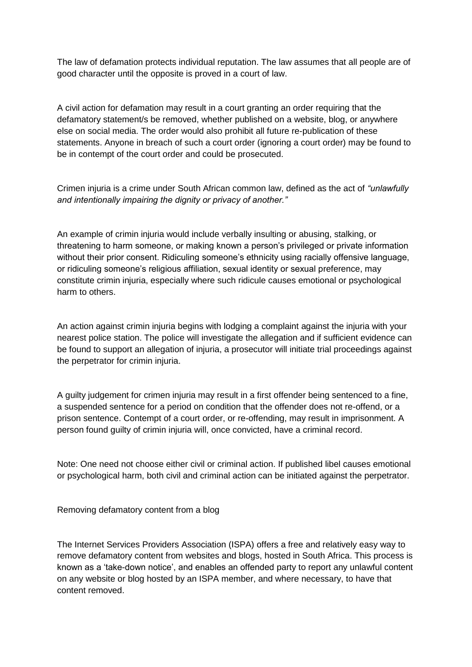The law of defamation protects individual reputation. The law assumes that all people are of good character until the opposite is proved in a court of law.

A civil action for defamation may result in a court granting an order requiring that the defamatory statement/s be removed, whether published on a website, blog, or anywhere else on social media. The order would also prohibit all future re-publication of these statements. Anyone in breach of such a court order (ignoring a court order) may be found to be in contempt of the court order and could be prosecuted.

Crimen injuria is a crime under South African common law, defined as the act of *"unlawfully and intentionally impairing the dignity or privacy of another."*

An example of crimin injuria would include verbally insulting or abusing, stalking, or threatening to harm someone, or making known a person's privileged or private information without their prior consent. Ridiculing someone's ethnicity using racially offensive language, or ridiculing someone's religious affiliation, sexual identity or sexual preference, may constitute crimin injuria, especially where such ridicule causes emotional or psychological harm to others.

An action against crimin injuria begins with lodging a complaint against the injuria with your nearest police station. The police will investigate the allegation and if sufficient evidence can be found to support an allegation of injuria, a prosecutor will initiate trial proceedings against the perpetrator for crimin injuria.

A guilty judgement for crimen injuria may result in a first offender being sentenced to a fine, a suspended sentence for a period on condition that the offender does not re-offend, or a prison sentence. Contempt of a court order, or re-offending, may result in imprisonment. A person found guilty of crimin injuria will, once convicted, have a criminal record.

Note: One need not choose either civil or criminal action. If published libel causes emotional or psychological harm, both civil and criminal action can be initiated against the perpetrator.

Removing defamatory content from a blog

The Internet Services Providers Association (ISPA) offers a free and relatively easy way to remove defamatory content from websites and blogs, hosted in South Africa. This process is known as a 'take-down notice', and enables an offended party to report any unlawful content on any website or blog hosted by an ISPA member, and where necessary, to have that content removed.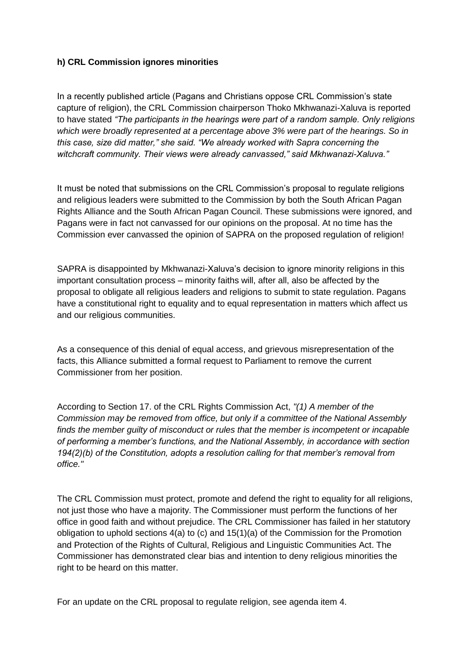## **h) CRL Commission ignores minorities**

In a recently published article (Pagans and Christians oppose CRL Commission's state capture of religion), the CRL Commission chairperson Thoko Mkhwanazi-Xaluva is reported to have stated *"The participants in the hearings were part of a random sample. Only religions which were broadly represented at a percentage above 3% were part of the hearings. So in this case, size did matter," she said. "We already worked with Sapra concerning the witchcraft community. Their views were already canvassed," said Mkhwanazi-Xaluva."*

It must be noted that submissions on the CRL Commission's proposal to regulate religions and religious leaders were submitted to the Commission by both the South African Pagan Rights Alliance and the South African Pagan Council. These submissions were ignored, and Pagans were in fact not canvassed for our opinions on the proposal. At no time has the Commission ever canvassed the opinion of SAPRA on the proposed regulation of religion!

SAPRA is disappointed by Mkhwanazi-Xaluva's decision to ignore minority religions in this important consultation process – minority faiths will, after all, also be affected by the proposal to obligate all religious leaders and religions to submit to state regulation. Pagans have a constitutional right to equality and to equal representation in matters which affect us and our religious communities.

As a consequence of this denial of equal access, and grievous misrepresentation of the facts, this Alliance submitted a formal request to Parliament to remove the current Commissioner from her position.

According to Section 17. of the CRL Rights Commission Act, *"(1) A member of the Commission may be removed from office, but only if a committee of the National Assembly finds the member guilty of misconduct or rules that the member is incompetent or incapable of performing a member's functions, and the National Assembly, in accordance with section 194(2)(b) of the Constitution, adopts a resolution calling for that member's removal from office."*

The CRL Commission must protect, promote and defend the right to equality for all religions, not just those who have a majority. The Commissioner must perform the functions of her office in good faith and without prejudice. The CRL Commissioner has failed in her statutory obligation to uphold sections 4(a) to (c) and 15(1)(a) of the Commission for the Promotion and Protection of the Rights of Cultural, Religious and Linguistic Communities Act. The Commissioner has demonstrated clear bias and intention to deny religious minorities the right to be heard on this matter.

For an update on the CRL proposal to regulate religion, see agenda item 4.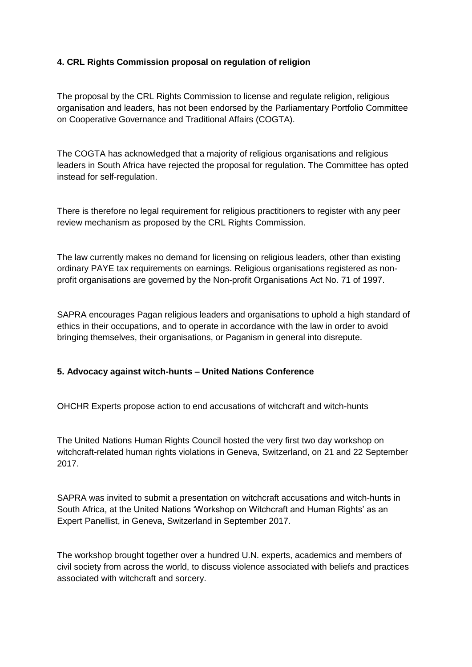## **4. CRL Rights Commission proposal on regulation of religion**

The proposal by the CRL Rights Commission to license and regulate religion, religious organisation and leaders, has not been endorsed by the Parliamentary Portfolio Committee on Cooperative Governance and Traditional Affairs (COGTA).

The COGTA has acknowledged that a majority of religious organisations and religious leaders in South Africa have rejected the proposal for regulation. The Committee has opted instead for self-regulation.

There is therefore no legal requirement for religious practitioners to register with any peer review mechanism as proposed by the CRL Rights Commission.

The law currently makes no demand for licensing on religious leaders, other than existing ordinary PAYE tax requirements on earnings. Religious organisations registered as nonprofit organisations are governed by the Non-profit Organisations Act No. 71 of 1997.

SAPRA encourages Pagan religious leaders and organisations to uphold a high standard of ethics in their occupations, and to operate in accordance with the law in order to avoid bringing themselves, their organisations, or Paganism in general into disrepute.

#### **5. Advocacy against witch-hunts – United Nations Conference**

OHCHR Experts propose action to end accusations of witchcraft and witch-hunts

The United Nations Human Rights Council hosted the very first two day workshop on witchcraft-related human rights violations in Geneva, Switzerland, on 21 and 22 September 2017.

SAPRA was invited to submit a presentation on witchcraft accusations and witch-hunts in South Africa, at the United Nations 'Workshop on Witchcraft and Human Rights' as an Expert Panellist, in Geneva, Switzerland in September 2017.

The workshop brought together over a hundred U.N. experts, academics and members of civil society from across the world, to discuss violence associated with beliefs and practices associated with witchcraft and sorcery.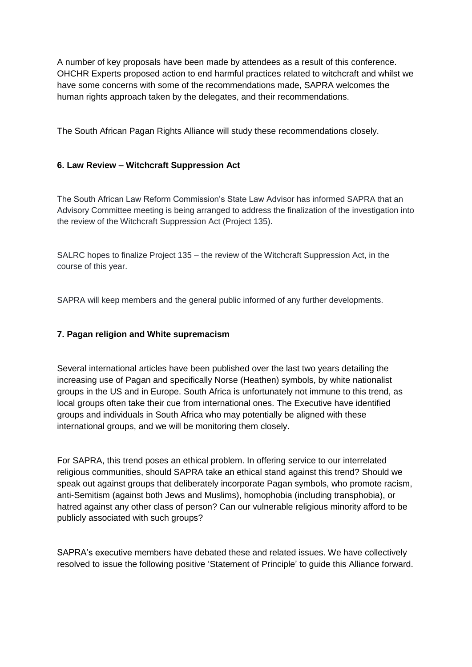A number of key proposals have been made by attendees as a result of this conference. OHCHR Experts proposed action to end harmful practices related to witchcraft and whilst we have some concerns with some of the recommendations made, SAPRA welcomes the human rights approach taken by the delegates, and their recommendations.

The South African Pagan Rights Alliance will study these recommendations closely.

### **6. Law Review – Witchcraft Suppression Act**

The South African Law Reform Commission's State Law Advisor has informed SAPRA that an Advisory Committee meeting is being arranged to address the finalization of the investigation into the review of the Witchcraft Suppression Act (Project 135).

SALRC hopes to finalize Project 135 – the review of the Witchcraft Suppression Act, in the course of this year.

SAPRA will keep members and the general public informed of any further developments.

#### **7. Pagan religion and White supremacism**

Several international articles have been published over the last two years detailing the increasing use of Pagan and specifically Norse (Heathen) symbols, by white nationalist groups in the US and in Europe. South Africa is unfortunately not immune to this trend, as local groups often take their cue from international ones. The Executive have identified groups and individuals in South Africa who may potentially be aligned with these international groups, and we will be monitoring them closely.

For SAPRA, this trend poses an ethical problem. In offering service to our interrelated religious communities, should SAPRA take an ethical stand against this trend? Should we speak out against groups that deliberately incorporate Pagan symbols, who promote racism, anti-Semitism (against both Jews and Muslims), homophobia (including transphobia), or hatred against any other class of person? Can our vulnerable religious minority afford to be publicly associated with such groups?

SAPRA's executive members have debated these and related issues. We have collectively resolved to issue the following positive 'Statement of Principle' to guide this Alliance forward.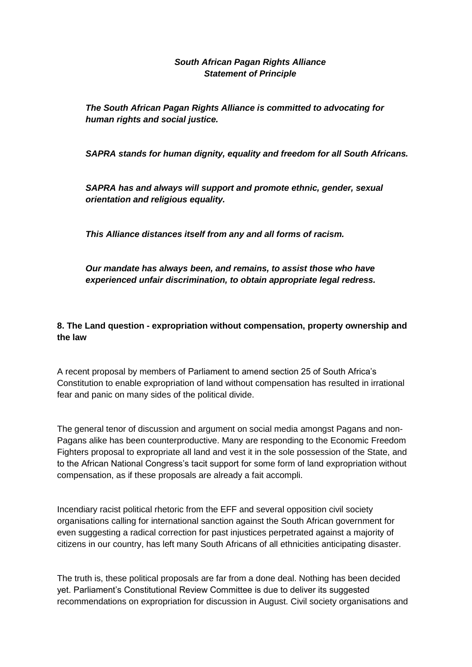### *South African Pagan Rights Alliance Statement of Principle*

*The South African Pagan Rights Alliance is committed to advocating for human rights and social justice.*

*SAPRA stands for human dignity, equality and freedom for all South Africans.*

*SAPRA has and always will support and promote ethnic, gender, sexual orientation and religious equality.*

*This Alliance distances itself from any and all forms of racism.*

*Our mandate has always been, and remains, to assist those who have experienced unfair discrimination, to obtain appropriate legal redress.*

## **8. The Land question - expropriation without compensation, property ownership and the law**

A recent proposal by members of Parliament to amend section 25 of South Africa's Constitution to enable expropriation of land without compensation has resulted in irrational fear and panic on many sides of the political divide.

The general tenor of discussion and argument on social media amongst Pagans and non-Pagans alike has been counterproductive. Many are responding to the Economic Freedom Fighters proposal to expropriate all land and vest it in the sole possession of the State, and to the African National Congress's tacit support for some form of land expropriation without compensation, as if these proposals are already a fait accompli.

Incendiary racist political rhetoric from the EFF and several opposition civil society organisations calling for international sanction against the South African government for even suggesting a radical correction for past injustices perpetrated against a majority of citizens in our country, has left many South Africans of all ethnicities anticipating disaster.

The truth is, these political proposals are far from a done deal. Nothing has been decided yet. Parliament's Constitutional Review Committee is due to deliver its suggested recommendations on expropriation for discussion in August. Civil society organisations and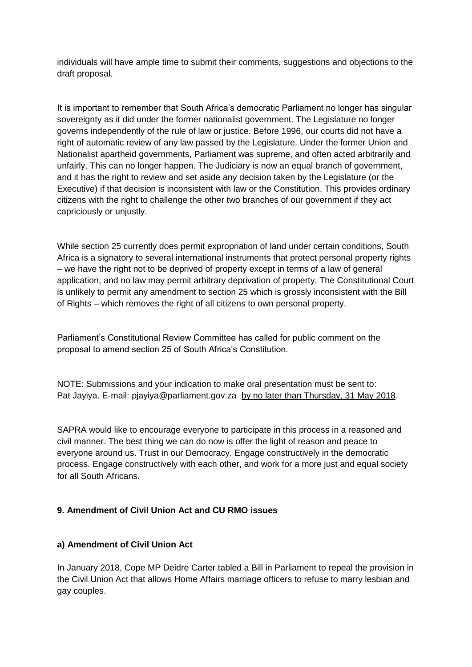individuals will have ample time to submit their comments, suggestions and objections to the draft proposal.

It is important to remember that South Africa's democratic Parliament no longer has singular sovereignty as it did under the former nationalist government. The Legislature no longer governs independently of the rule of law or justice. Before 1996, our courts did not have a right of automatic review of any law passed by the Legislature. Under the former Union and Nationalist apartheid governments, Parliament was supreme, and often acted arbitrarily and unfairly. This can no longer happen. The Judiciary is now an equal branch of government, and it has the right to review and set aside any decision taken by the Legislature (or the Executive) if that decision is inconsistent with law or the Constitution. This provides ordinary citizens with the right to challenge the other two branches of our government if they act capriciously or unjustly.

While section 25 currently does permit expropriation of land under certain conditions, South Africa is a signatory to several international instruments that protect personal property rights – we have the right not to be deprived of property except in terms of a law of general application, and no law may permit arbitrary deprivation of property. The Constitutional Court is unlikely to permit any amendment to section 25 which is grossly inconsistent with the Bill of Rights – which removes the right of all citizens to own personal property.

Parliament's Constitutional Review Committee has called for public comment on the proposal to amend section 25 of South Africa's Constitution.

NOTE: Submissions and your indication to make oral presentation must be sent to: Pat Jayiya. E-mail: pjayiya@parliament.gov.za by no later than Thursday, 31 May 2018.

SAPRA would like to encourage everyone to participate in this process in a reasoned and civil manner. The best thing we can do now is offer the light of reason and peace to everyone around us. Trust in our Democracy. Engage constructively in the democratic process. Engage constructively with each other, and work for a more just and equal society for all South Africans.

## **9. Amendment of Civil Union Act and CU RMO issues**

#### **a) Amendment of Civil Union Act**

In January 2018, Cope MP Deidre Carter tabled a Bill in Parliament to repeal the provision in the Civil Union Act that allows Home Affairs marriage officers to refuse to marry lesbian and gay couples.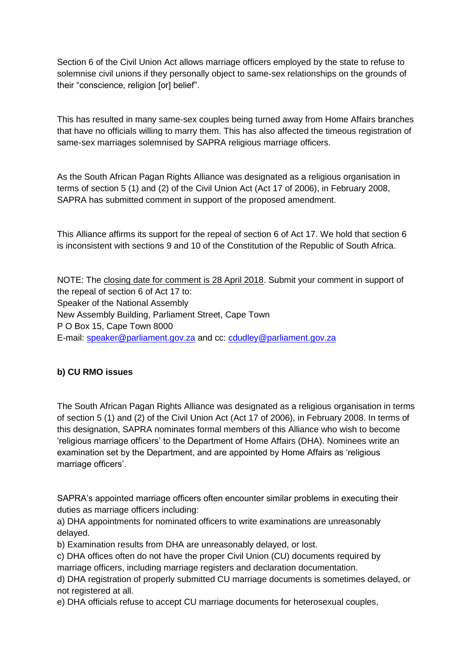Section 6 of the Civil Union Act allows marriage officers employed by the state to refuse to solemnise civil unions if they personally object to same-sex relationships on the grounds of their "conscience, religion [or] belief".

This has resulted in many same-sex couples being turned away from Home Affairs branches that have no officials willing to marry them. This has also affected the timeous registration of same-sex marriages solemnised by SAPRA religious marriage officers.

As the South African Pagan Rights Alliance was designated as a religious organisation in terms of section 5 (1) and (2) of the Civil Union Act (Act 17 of 2006), in February 2008, SAPRA has submitted comment in support of the proposed amendment.

This Alliance affirms its support for the repeal of section 6 of Act 17. We hold that section 6 is inconsistent with sections 9 and 10 of the Constitution of the Republic of South Africa.

NOTE: The closing date for comment is 28 April 2018. Submit your comment in support of the repeal of section 6 of Act 17 to: Speaker of the National Assembly New Assembly Building, Parliament Street, Cape Town P O Box 15, Cape Town 8000 E-mail: [speaker@parliament.gov.za](mailto:speaker@parliament.gov.za) and cc: [cdudley@parliament.gov.za](mailto:cdudley@parliament.gov.za)

## **b) CU RMO issues**

The South African Pagan Rights Alliance was designated as a religious organisation in terms of section 5 (1) and (2) of the Civil Union Act (Act 17 of 2006), in February 2008. In terms of this designation, SAPRA nominates formal members of this Alliance who wish to become 'religious marriage officers' to the Department of Home Affairs (DHA). Nominees write an examination set by the Department, and are appointed by Home Affairs as 'religious marriage officers'.

SAPRA's appointed marriage officers often encounter similar problems in executing their duties as marriage officers including:

a) DHA appointments for nominated officers to write examinations are unreasonably delayed.

b) Examination results from DHA are unreasonably delayed, or lost.

c) DHA offices often do not have the proper Civil Union (CU) documents required by marriage officers, including marriage registers and declaration documentation.

d) DHA registration of properly submitted CU marriage documents is sometimes delayed, or not registered at all.

e) DHA officials refuse to accept CU marriage documents for heterosexual couples,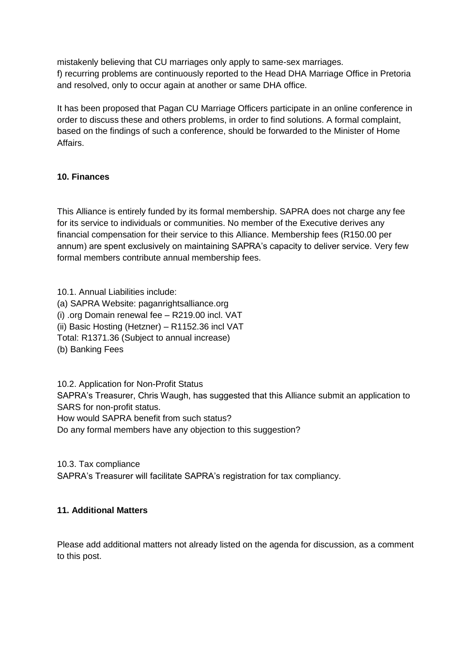mistakenly believing that CU marriages only apply to same-sex marriages. f) recurring problems are continuously reported to the Head DHA Marriage Office in Pretoria and resolved, only to occur again at another or same DHA office.

It has been proposed that Pagan CU Marriage Officers participate in an online conference in order to discuss these and others problems, in order to find solutions. A formal complaint, based on the findings of such a conference, should be forwarded to the Minister of Home Affairs.

### **10. Finances**

This Alliance is entirely funded by its formal membership. SAPRA does not charge any fee for its service to individuals or communities. No member of the Executive derives any financial compensation for their service to this Alliance. Membership fees (R150.00 per annum) are spent exclusively on maintaining SAPRA's capacity to deliver service. Very few formal members contribute annual membership fees.

10.1. Annual Liabilities include: (a) SAPRA Website: paganrightsalliance.org (i) .org Domain renewal fee – R219.00 incl. VAT (ii) Basic Hosting (Hetzner) – R1152.36 incl VAT Total: R1371.36 (Subject to annual increase) (b) Banking Fees

10.2. Application for Non-Profit Status

SAPRA's Treasurer, Chris Waugh, has suggested that this Alliance submit an application to SARS for non-profit status.

How would SAPRA benefit from such status?

Do any formal members have any objection to this suggestion?

10.3. Tax compliance

SAPRA's Treasurer will facilitate SAPRA's registration for tax compliancy.

#### **11. Additional Matters**

Please add additional matters not already listed on the agenda for discussion, as a comment to this post.